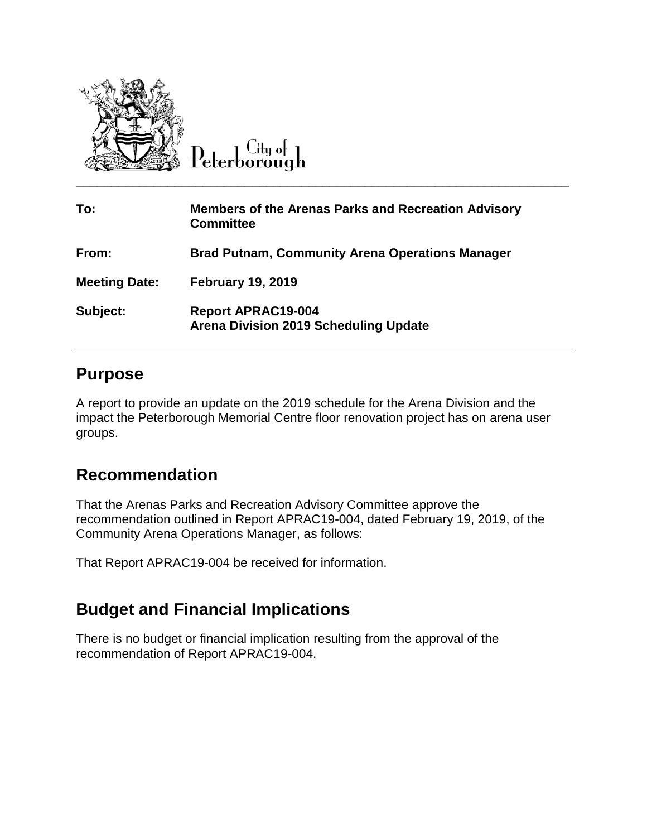

Peterborough

| To:                  | <b>Members of the Arenas Parks and Recreation Advisory</b><br><b>Committee</b> |  |
|----------------------|--------------------------------------------------------------------------------|--|
| From:                | <b>Brad Putnam, Community Arena Operations Manager</b>                         |  |
| <b>Meeting Date:</b> | <b>February 19, 2019</b>                                                       |  |
| Subject:             | <b>Report APRAC19-004</b><br><b>Arena Division 2019 Scheduling Update</b>      |  |

### **Purpose**

A report to provide an update on the 2019 schedule for the Arena Division and the impact the Peterborough Memorial Centre floor renovation project has on arena user groups.

## **Recommendation**

That the Arenas Parks and Recreation Advisory Committee approve the recommendation outlined in Report APRAC19-004, dated February 19, 2019, of the Community Arena Operations Manager, as follows:

That Report APRAC19-004 be received for information.

## **Budget and Financial Implications**

There is no budget or financial implication resulting from the approval of the recommendation of Report APRAC19-004.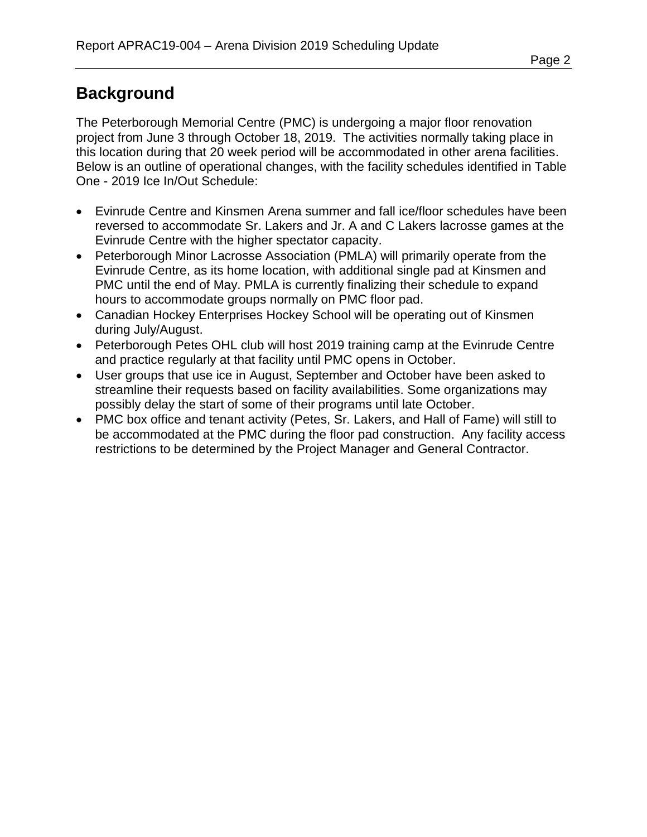# **Background**

The Peterborough Memorial Centre (PMC) is undergoing a major floor renovation project from June 3 through October 18, 2019. The activities normally taking place in this location during that 20 week period will be accommodated in other arena facilities. Below is an outline of operational changes, with the facility schedules identified in Table One - 2019 Ice In/Out Schedule:

- Evinrude Centre and Kinsmen Arena summer and fall ice/floor schedules have been reversed to accommodate Sr. Lakers and Jr. A and C Lakers lacrosse games at the Evinrude Centre with the higher spectator capacity.
- Peterborough Minor Lacrosse Association (PMLA) will primarily operate from the Evinrude Centre, as its home location, with additional single pad at Kinsmen and PMC until the end of May. PMLA is currently finalizing their schedule to expand hours to accommodate groups normally on PMC floor pad.
- Canadian Hockey Enterprises Hockey School will be operating out of Kinsmen during July/August.
- Peterborough Petes OHL club will host 2019 training camp at the Evinrude Centre and practice regularly at that facility until PMC opens in October.
- User groups that use ice in August, September and October have been asked to streamline their requests based on facility availabilities. Some organizations may possibly delay the start of some of their programs until late October.
- PMC box office and tenant activity (Petes, Sr. Lakers, and Hall of Fame) will still to be accommodated at the PMC during the floor pad construction. Any facility access restrictions to be determined by the Project Manager and General Contractor.